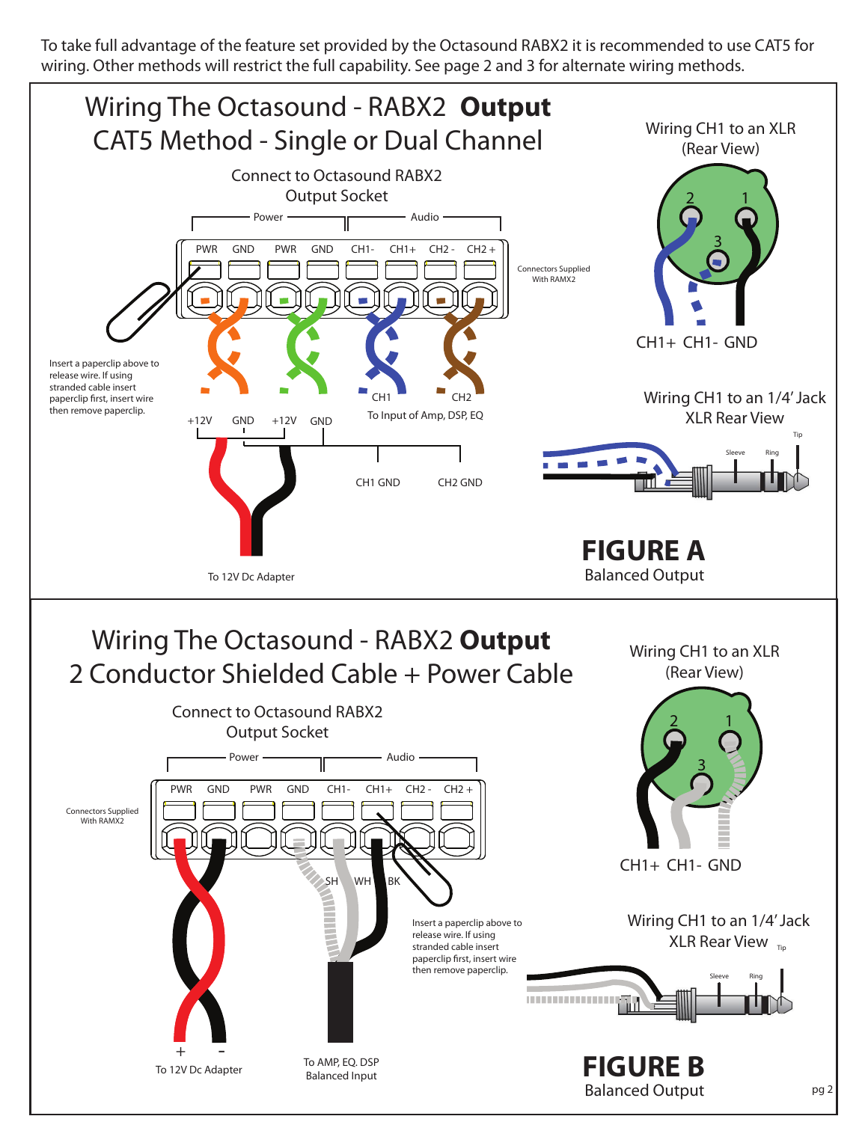To take full advantage of the feature set provided by the Octasound RABX2 it is recommended to use CAT5 for wiring. Other methods will restrict the full capability. See page 2 and 3 for alternate wiring methods.